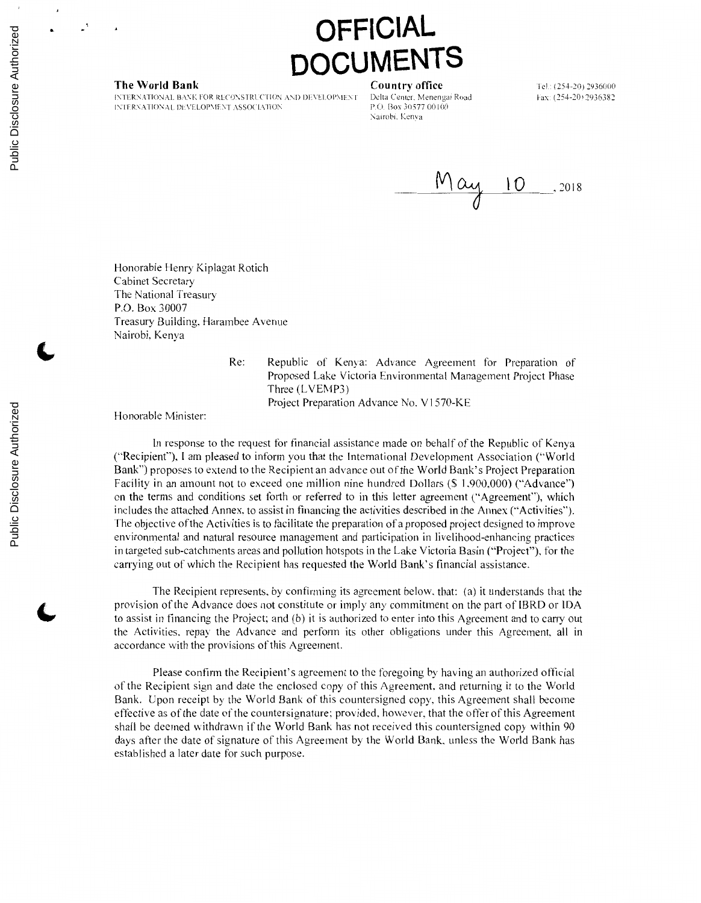# **OFFICIAL DCUMENTS**

**The World Bank Country office**<br>INTERNATIONAL BANK FOR RECONSTRUCTION AND DEVELOPMENT Delta Center. Menengai Road INTERNATIONAL BANK FOR RECONSTRUCTION AND DEVELOPMENT Delta Center. Menenga<br>1NTERNATIONAL DEVELOPMENT ASSOCIATION P.O. Box 30577 00100 INTERNATIONAL DEVELOPMENT ASSOCIATION

Nairobi. Kenva

Tel.: (254-20) 2936000 Fax: (254-20) 2936382

 $May 10$ , 2018

Honorable Henry Kiplagat Rotich Cabinet Secretary The National Treasury P.O. Box 30007 Treasury Building. Harambee Avenue Nairobi. Kenya

> Re: Republic of Kenya: Advance Agreement for Preparation of Proposed Lake Victoria Environmental Management Project Phase Three (LVEMP3) Project Preparation Advance No. V1570-KE

Honorable Minister:

In response to the request for financial assistance made on behalf of the Republic of Kenya ("Recipient"'). I am pleased to inform you that the International Development Association ("World Bank") proposes to extend to the Recipient an advance out of the World Bank's Project Preparation Facility in an amount not to exceed one million nine hundred Dollars (\$ 1.900.000) ("Advance'") on the terms and conditions set forth or referred to in this letter agreement ("Agreement"), which includes the attached Annex. to assist in financing the activities described in the Annex ("'Activities''). The objective of the Activities is to facilitate the preparation ofa proposed project designed to improve environmental and natural resource management and participation in livelihood-enhancing practices in targeted sub-catchments areas and pollution hotspots in the Lake Victoria Basin ("Project"). for the carrying out of which the Recipient has requested the World Bank's financial assistance.

The Recipient represents. by confirming its agreement below. that: (a) it understands that the provision of the Advance does not constitute or imply any commitment on the part of **IBRD** or IDA to assist in financing the Project; and (b) it is authorized to enter into this Agreement and to carry out the Activities. repay the Advance and perform its other obligations under this Agreement. all in accordance with the provisions of this Agreement.

Please confirm the Recipient's agreement to the foregoing by having an authorized official of the Recipient sign and date the enclosed copy of this Agreement. and returning it to the World Bank. Upon receipt by the World Bank of this countersigned copy. this Agreement shall become effective as of the date of the countersignature; provided. however, that the offer of this Agreement shall be deemed withdrawn if the World Bank has not received this countersigned copy within 90 days after the date of signature of this Agreement by the World Bank. unless the World Bank has established a later date for such purpose.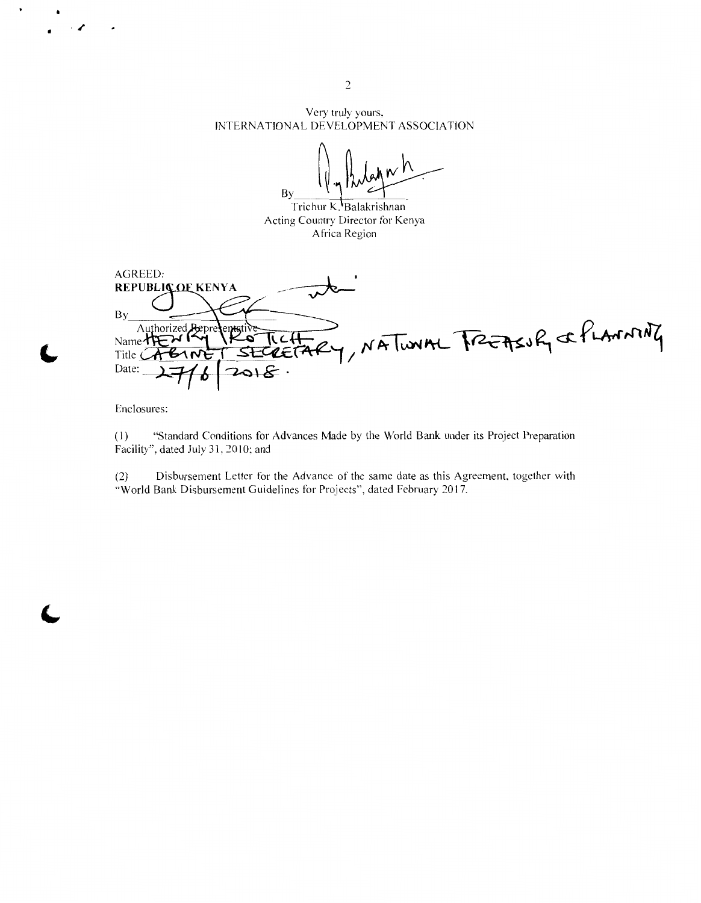Very truly yours, INTERNATIONAL DEVELOPMENT ASSOCIATION

 $\int_{\mathbb{R}}\int_{\mathbb{R}}\int_{\mathbb{R}}\rho(x)dx\sim h$  $_{\text{By}}$  1/41  $\sqrt{\frac{1}{\frac{1}{\Gamma(\text{chur }K\text{Balskrishann}}}}$ 

Acting Country Director for Kenya Africa Region

AGREED: REPUBLIC OF KENYA **By** NATUNAL FREASUR & PLANNING Authorized َھـٰ Name $\tau$ Title  $\tilde{C}$ ᠮ Date: ات

Enclosures:

·/

 $\ddot{\phantom{0}}$ 

(I) "Standard Conditions for Advances Made by the World Bank under its Project Preparation Facility", dated July 31, 2010; and

(2) Disbursement Letter for the Advance of the same date as this Agreement, together with ''World Bank Disbursement Guidelines for Projects'', dated February 2017.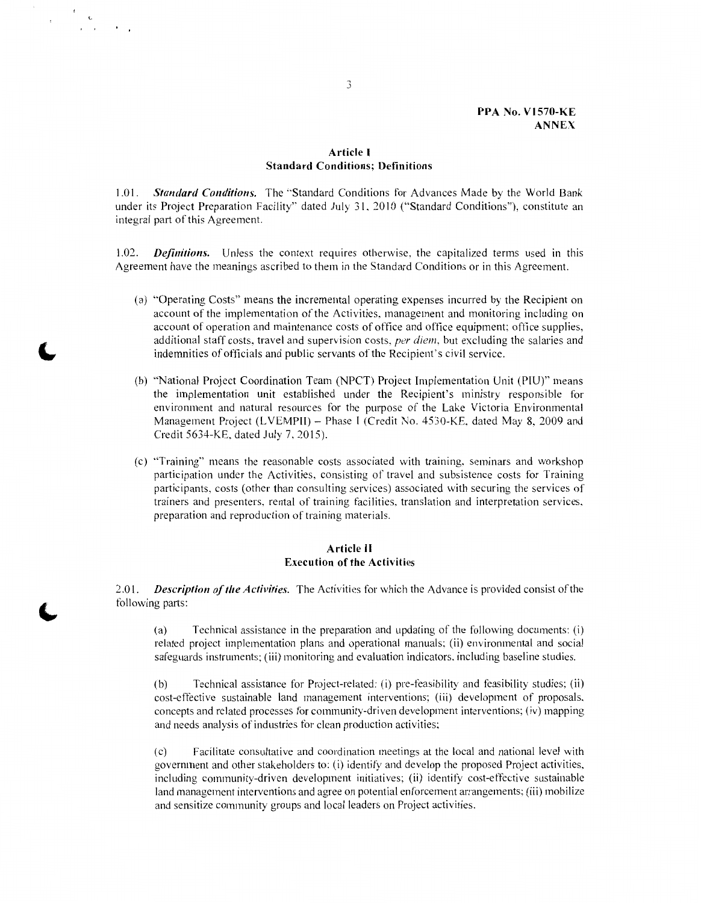# **Article I Standard Conditions; Definitions**

1.01. *Standard Conditions.* The "Standard Conditions for Advances Made by the World Bank under its Project Preparation Facility" dated July 31, 2010 ("Standard Conditions"), constitute an integral part of this Agreement.

1.02. *Definitions.* Unless the context requires otherwise, the capitalized terms used in this Agreement have the meanings ascribed to them in the Standard Conditions or in this Agreement.

- (a) "Operating Costs" means the incremental operating expenses incurred by the Recipient on account of the implementation of the Activities. management and monitoring including on account of operation and maintenance costs of office and office equipment; office supplies, additional staff costs, travel and supervision costs. *per diem,* but excluding the salaries and indemnities of officials and public servants of the Recipient's civil service.
- (b) ·'National Project Coordination Team (NPCT) Project Implementation Unit (PIU)" means the implementation unit established under the Recipient's ministry responsible for environment and natural resources for the purpose of the Lake Victoria Environmental Management Project (LVEMPII) - Phase I (Credit No. 4530-KE, dated May 8, 2009 and Credit 5634-KE. dated July 7.2015).
- ( c) ''Training'' means the reasonable costs associated with training. seminars and workshop participation under the Activities, consisting of travel and subsistence costs for Training participants, costs ( other than consulting services) associated with securing the services of trainers and presenters, rental of training facilities, translation and interpretation services, preparation and reproduction of training materials.

### **Article II Execution of the Activities**

2.0 l. *Description of the Activities.* The Activities for which the Advance is provided consist of the following parts:

( a) Technical assistance in the preparation and updating of the following documents: (i) related project implementation plans and operational manuals; (ii) environmental and social safeguards instruments; (iii) monitoring and evaluation indicators. including baseline studies.

(b) Technical assistance for Project-related: (i) pre-feasibility and feasibility studies; (ii) cost-effective sustainable land management interventions; (iii) development of proposals. concepts and related processes for community-driven development interventions; (iv) mapping and needs analysis of industries for clean production activities;

(c) Facilitate consultative and coordination meetings at the local and national level with government and other stakeholders to: (i) identify and develop the proposed Project activities. including community-driven development initiatives; (ii) identify cost-effective sustainable land management interventions and agree on potential enforcement arrangements; (iii) mobilize and sensitize community groups and local leaders on Project activities.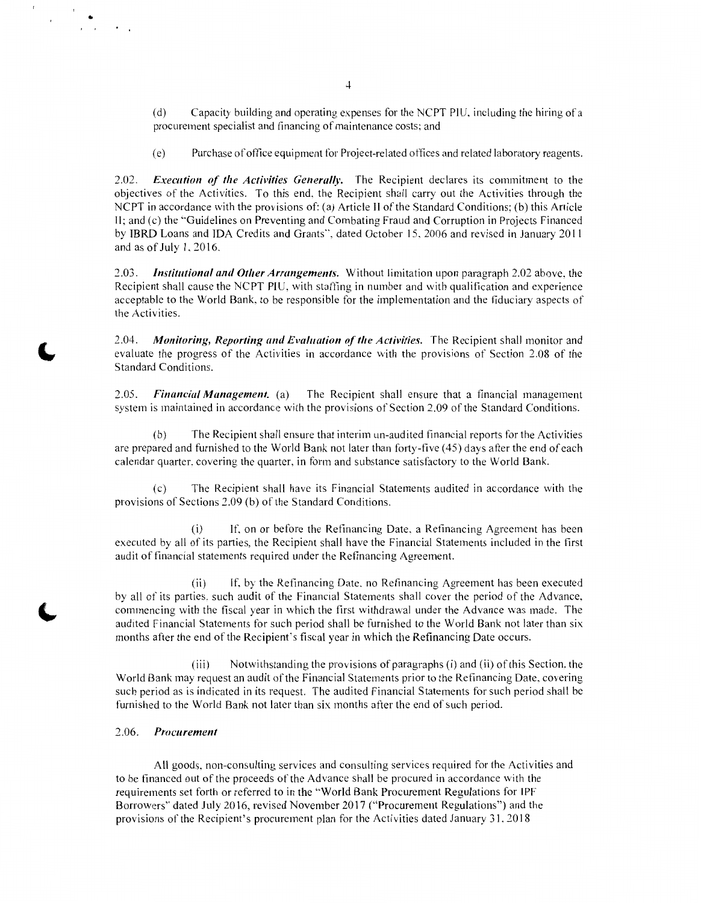(d) Capacity building and operating expenses for the NCPT PIU. including the hiring ofa procurement specialist and financing of maintenance costs; and

( e) Purchase ofoffice equipment for Project-related offices and related laboratory reagents.

2.02. *Execution of the Activities Generally*. The Recipient declares its commitment to the objectives of the Activities. To this end. the Recipient shall carry out the Activities through the NCPT in accordance with the provisions of: (a) Article II of the Standard Conditions; (b) this Article II; and (c) the "Guidelines on Preventing and Combating Fraud and Corruption in Projects Financed by IBRD Loans and IDA Credits and Grants", dated October 15. 2006 and revised in January 20 I I and as of July 1.2016.

2.03. *Institutional and Other Arrangements.* Without limitation upon paragraph 2.02 above, the Recipient shall cause the NCPT PIU, with staffing in number and with qualification and experience acceptable to the World Bank. to be responsible for the implementation and the fiduciary aspects of the Activities.

2.04. *Monitoring, Reporting and Evaluation of the Activities.* The Recipient shall monitor and evaluate the progress of the Activities in accordance with the provisions of Section 2.08 of the Standard Conditions.

2.05. *Financial Management.* (a) The Recipient shall ensure that a financial management system is maintained in accordance with the provisions of Section 2.09 of the Standard Conditions.

(b) The Recipient shall ensure that interim un-audited financial reports for the Activities are prepared and furnished to the World Bank not later than forty-five ( 45) days after the end of each calendar quarter. covering the quarter, in form and substance satisfactory to the World Bank.

( c) The Recipient shall have its Financial Statements audited in accordance with the provisions of Sections 2.09 (b) of the Standard Conditions.

(i) If. on or before the Refinancing Date. a Refinancing Agreement has been executed by all of its parties, the Recipient shall have the Financial Statements included in the first audit of financial statements required under the Refinancing Agreement.

(ii) If. by the Refinancing Date. no Refinancing Agreement has been executed by all of its parties. such audit of the Financial Statements shall cover the period of the Advance. commencing with the fiscal year in which the first withdrawal under the Advance was made. The audited Financial Statements for such period shall be furnished to the World Bank not later than six months after the end of the Recipient's fiscal year in which the Refinancing Date occurs.

(iii) Notwithstanding the provisions of paragraphs (i) and (ii) of this Section. the World Bank may request an audit of the Financial Statements prior to the Refinancing Date. covering such period as is indicated in its request. The audited Financial Statements for such period shall be furnished to the World Bank not later than six months after the end of such period.

#### 2.06. Procurement

•

 $\mathbf{r}$  $\mathbf{r}$ 

> All goods. non-consulting services and consulting services required for the Activities and to be financed out of the proceeds of the Advance shall be procured in accordance with the requirements set forth or referred to in the "World Bank Procurement Regulations for !PF Borrowers" dated July 2016, revised November 2017 ("Procurement Regulations") and the provisions of the Recipient's procurement plan for the Activities dated January 31.2018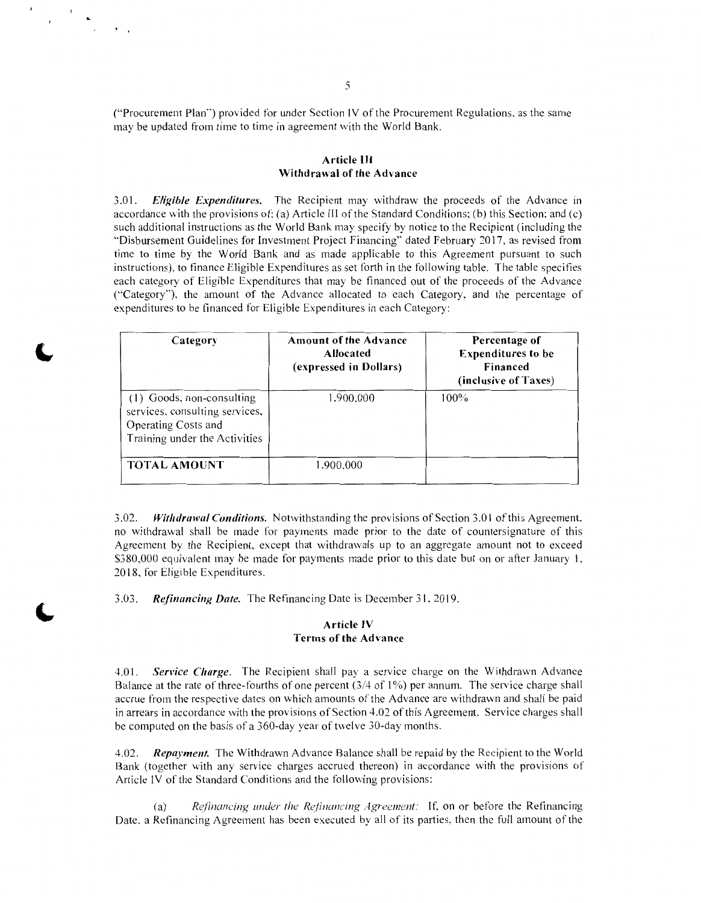("Procurement Plan") provided for under Section IV of the Procurement Regulations. as the same may be updated from time to time in agreement with the World Bank.

#### **Article** Ill **Withdrawal of the Advance**

3.0 I. *Eligible Expenditures.* The Recipient may withdraw the proceeds of the Advance in accordance with the provisions of: (a) Article Ill of the Standard Conditions; (b) this Section; and (c) such additional instructions as the World Bank may specify by notice to the Recipient (including the '"Disbursement Guidelines for Investment Project Financing'· dated February 2017, as revised from time to time by the World Bank and as made applicable to this Agreement pursuant to such instructions). to finance Eligible Expenditures as set forth in the following table. The table specifies each category of Eligible Expenditures that may be financed out of the proceeds of the Advance (''Category"'), the amount of the Advance allocated to each Category, and the percentage of expenditures to be financed for Eligible Expenditures in each Category:

| Category                                                                                                            | <b>Amount of the Advance</b><br><b>Allocated</b><br>(expressed in Dollars) | Percentage of<br><b>Expenditures to be</b><br><b>Financed</b><br>(inclusive of Taxes) |
|---------------------------------------------------------------------------------------------------------------------|----------------------------------------------------------------------------|---------------------------------------------------------------------------------------|
| (1) Goods, non-consulting<br>services, consulting services,<br>Operating Costs and<br>Training under the Activities | 1,900,000                                                                  | $100\%$                                                                               |
| <b>TOTAL AMOUNT</b>                                                                                                 | 1,900,000                                                                  |                                                                                       |

3.02. *Withdrawal Conditions.* Notwithstanding the provisions of Section 3.01 of this Agreement. no withdrawal shall be made for payments made prior to the date of countersignature of this Agreement by the Recipient. except that withdrawals up to an aggregate amount not to exceed \$380,000 equivalent may be made for payments made prior to this date but on or after January 1, 2018. for Eligible Expenditures.

3.03. *Refinancing Date.* The Refinancing Date is December 31. 2019.

# **Article IV Terms of the Advance**

4.0 I. *Service Charge.* The Recipient shall pay a service charge on the Withdrawn Advance Balance at the rate of three-fourths of one percent (3/4 of I%) per annum. The service charge shall accrue from the respective dates on which amounts of the Advance are withdrawn and shall be paid in arrears in accordance with the provisions of Section 4.02 of this Agreement. Service charges shall be computed on the basis of a 360-day year of twelve 30-day months.

4.02. *Repayment.* The Withdrawn Advance Balance shall be repaid by the Recipient to the World Bank (together with any service charges accrued thereon) in accordance with the provisions of Article IV of the Standard Conditions and the following provisions:

(a) *Refinancing under the Refinancing Agreement:* If, on or before the Refinancing Date. a Refinancing Agreement has been executed by all of its parties. then the full amount of the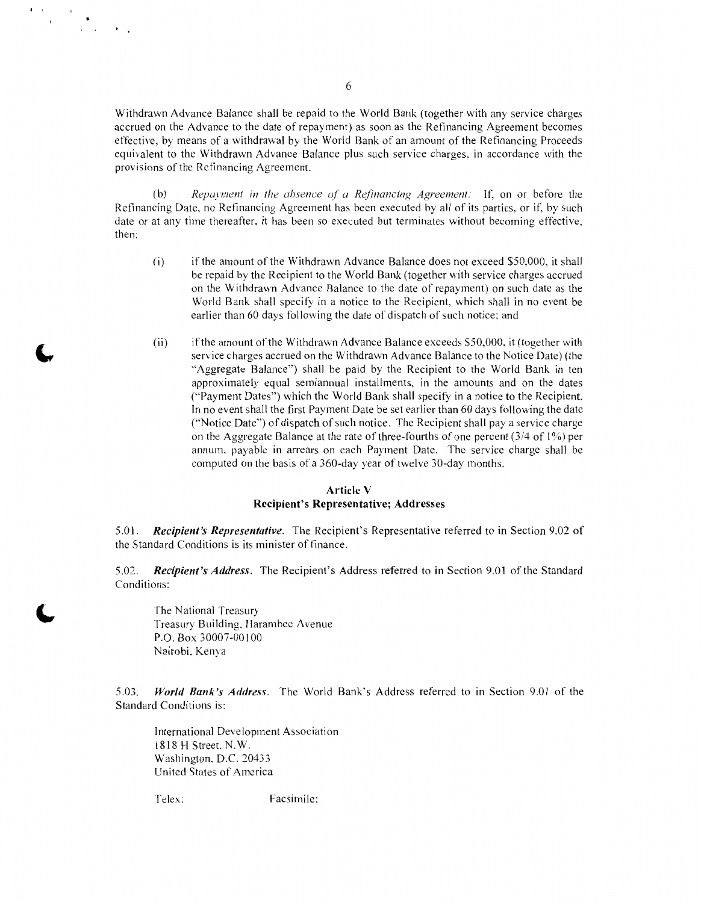Withdrawn Advance Balance shall be repaid to the World Bank (together with any service charges accrued on the Advance to the date of repayment) as soon as the Refinancing Agreement becomes effective, by means of a withdrawal by the World Bank of an amount of the Refinancing Proceeds equivalent to the Withdrawn Advance Balance plus such service charges, in accordance with the provisions of the Refinancing Agreement.

(b) *Repayment in the absence of a Refinancing Agreement:* If. on or before the Refinancing Date, no Refinancing Agreement has been executed by all of its parties. or if, by such date or at any time thereafter, it has been so executed but terminates without becoming effective, then:

- (i) if the amount of the Withdrawn Advance Balance does not exceed \$50.000, it shall be repaid by the Recipient to the World Bank (together with service charges accrued on the Withdrawn Advance Balance to the date of repayment) on such date as the World Bank shall specify in a notice to the Recipient. which shall in no event be earlier than 60 days following the date of dispatch of such notice; and
- (ii) if the amount of the Withdrawn Advance Balance exceeds \$50,000, it (together with service charges accrued on the Withdrawn Advance Balance to the Notice Date) (the "Aggregate Balance'') shall be paid by the Recipient to the World Bank in ten approximately equal semiannual installments, in the amounts and on the dates ("Payment Dates") which the World Bank shall specify in a notice to the Recipient. In no event shall the first Payment Date be set earlier than 60 days following the date ("Notice Date") of dispatch of such notice. The Recipient shall pay a service charge on the Aggregate Balance at the rate of three-fourths of one percent  $(3/4 \text{ of } 1\%)$  per annum, payable in arrears on each Payment Date. The service charge shall be computed on the basis of a 360-day year of twelve 30-day months.

# **Article V Recipient's Representative; Addresses**

5.01. *Recipient's Representative.* The Recipient's Representative referred to in Section 9.02 of the Standard Conditions is its minister of finance.

5.02. *Recipient's Address.* The Recipient's Address referred to in Section 9.01 of the Standard Conditions:

The National Treasury Treasury Building, Harambee Avenue P.O. Box 30007-00100 Nairobi, Kenya

5.03. *World Bank's Address.* The World Bank's Address referred to in Section 9.01 of the Standard Conditions is:

International Development Association 181 8 **H** Street. N. W. Washington. D.C. 20433 United States of America

 $\mathbf{f} = \mathbf{f} \frac{\partial \mathbf{f}}{\partial \mathbf{f}}$ 

 $\mathcal{L}_{\text{max}}$ 

Telex: Facsimile: